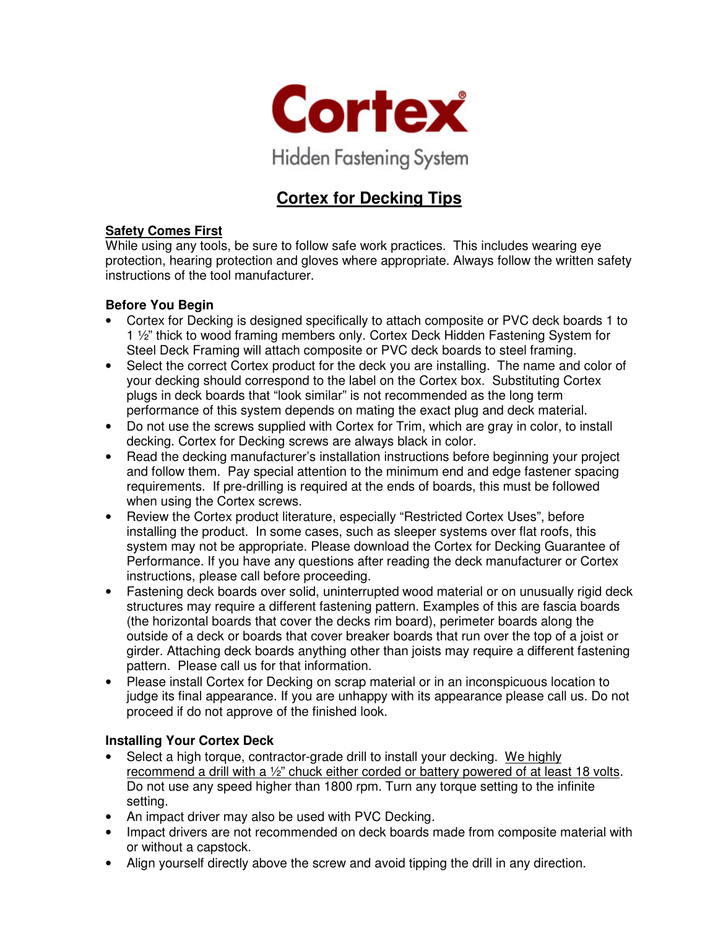

# **Cortex for Decking Tips**

### **Safety Comes First**

While using any tools, be sure to follow safe work practices. This includes wearing eye protection, hearing protection and gloves where appropriate. Always follow the written safety instructions of the tool manufacturer.

### **Before You Begin**

- Cortex for Decking is designed specifically to attach composite or PVC deck boards 1 to 1 ½" thick to wood framing members only. Cortex Deck Hidden Fastening System for Steel Deck Framing will attach composite or PVC deck boards to steel framing.
- Select the correct Cortex product for the deck you are installing. The name and color of your decking should correspond to the label on the Cortex box. Substituting Cortex plugs in deck boards that "look similar" is not recommended as the long term performance of this system depends on mating the exact plug and deck material.
- Do not use the screws supplied with Cortex for Trim, which are gray in color, to install decking. Cortex for Decking screws are always black in color.
- Read the decking manufacturer's installation instructions before beginning your project and follow them. Pay special attention to the minimum end and edge fastener spacing requirements. If pre-drilling is required at the ends of boards, this must be followed when using the Cortex screws.
- Review the Cortex product literature, especially "Restricted Cortex Uses", before installing the product. In some cases, such as sleeper systems over flat roofs, this system may not be appropriate. Please download the Cortex for Decking Guarantee of Performance. If you have any questions after reading the deck manufacturer or Cortex instructions, please call before proceeding.
- Fastening deck boards over solid, uninterrupted wood material or on unusually rigid deck structures may require a different fastening pattern. Examples of this are fascia boards (the horizontal boards that cover the decks rim board), perimeter boards along the outside of a deck or boards that cover breaker boards that run over the top of a joist or girder. Attaching deck boards anything other than joists may require a different fastening pattern. Please call us for that information.
- Please install Cortex for Decking on scrap material or in an inconspicuous location to judge its final appearance. If you are unhappy with its appearance please call us. Do not proceed if do not approve of the finished look.

### **Installing Your Cortex Deck**

- Select a high torque, contractor-grade drill to install your decking. We highly recommend a drill with a ½" chuck either corded or battery powered of at least 18 volts. Do not use any speed higher than 1800 rpm. Turn any torque setting to the infinite setting.
- An impact driver may also be used with PVC Decking.
- Impact drivers are not recommended on deck boards made from composite material with or without a capstock.
- Align yourself directly above the screw and avoid tipping the drill in any direction.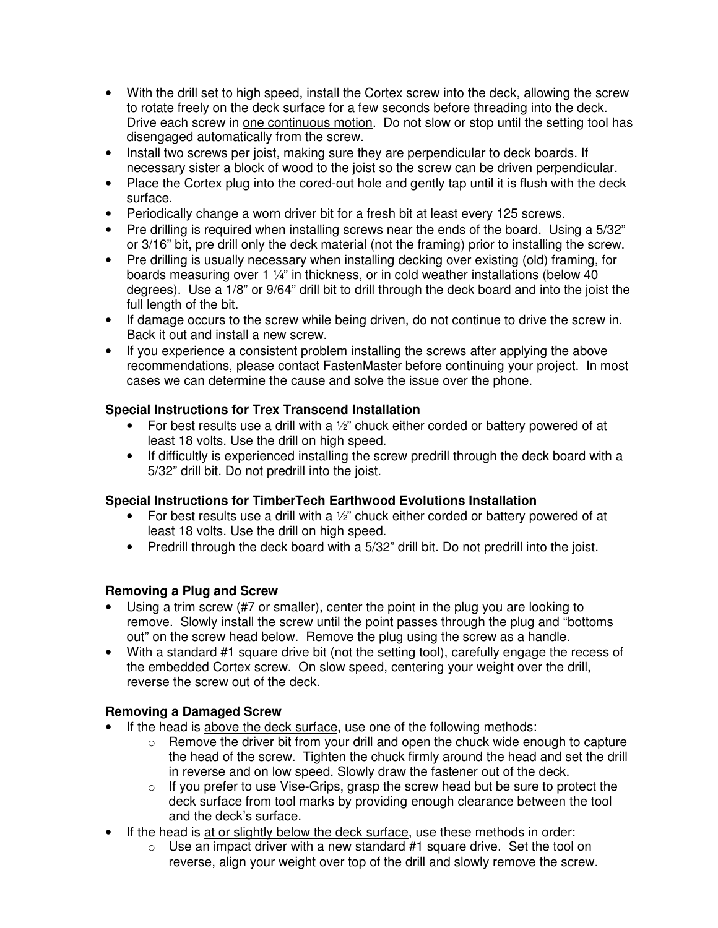- With the drill set to high speed, install the Cortex screw into the deck, allowing the screw to rotate freely on the deck surface for a few seconds before threading into the deck. Drive each screw in one continuous motion. Do not slow or stop until the setting tool has disengaged automatically from the screw.
- Install two screws per joist, making sure they are perpendicular to deck boards. If necessary sister a block of wood to the joist so the screw can be driven perpendicular.
- Place the Cortex plug into the cored-out hole and gently tap until it is flush with the deck surface.
- Periodically change a worn driver bit for a fresh bit at least every 125 screws.
- Pre drilling is required when installing screws near the ends of the board. Using a 5/32" or 3/16" bit, pre drill only the deck material (not the framing) prior to installing the screw.
- Pre drilling is usually necessary when installing decking over existing (old) framing, for boards measuring over 1 ¼" in thickness, or in cold weather installations (below 40 degrees). Use a 1/8" or 9/64" drill bit to drill through the deck board and into the joist the full length of the bit.
- If damage occurs to the screw while being driven, do not continue to drive the screw in. Back it out and install a new screw.
- If you experience a consistent problem installing the screws after applying the above recommendations, please contact FastenMaster before continuing your project. In most cases we can determine the cause and solve the issue over the phone.

### **Special Instructions for Trex Transcend Installation**

- For best results use a drill with a  $\frac{1}{2}$ " chuck either corded or battery powered of at least 18 volts. Use the drill on high speed.
- If difficultly is experienced installing the screw predrill through the deck board with a 5/32" drill bit. Do not predrill into the joist.

### **Special Instructions for TimberTech Earthwood Evolutions Installation**

- For best results use a drill with a  $\frac{1}{2}$  chuck either corded or battery powered of at least 18 volts. Use the drill on high speed.
- Predrill through the deck board with a 5/32" drill bit. Do not predrill into the joist.

### **Removing a Plug and Screw**

- Using a trim screw (#7 or smaller), center the point in the plug you are looking to remove. Slowly install the screw until the point passes through the plug and "bottoms out" on the screw head below. Remove the plug using the screw as a handle.
- With a standard #1 square drive bit (not the setting tool), carefully engage the recess of the embedded Cortex screw. On slow speed, centering your weight over the drill, reverse the screw out of the deck.

## **Removing a Damaged Screw**

- If the head is above the deck surface, use one of the following methods:
	- $\circ$  Remove the driver bit from your drill and open the chuck wide enough to capture the head of the screw. Tighten the chuck firmly around the head and set the drill in reverse and on low speed. Slowly draw the fastener out of the deck.
	- $\circ$  If you prefer to use Vise-Grips, grasp the screw head but be sure to protect the deck surface from tool marks by providing enough clearance between the tool and the deck's surface.
- If the head is at or slightly below the deck surface, use these methods in order:
	- $\circ$  Use an impact driver with a new standard #1 square drive. Set the tool on reverse, align your weight over top of the drill and slowly remove the screw.